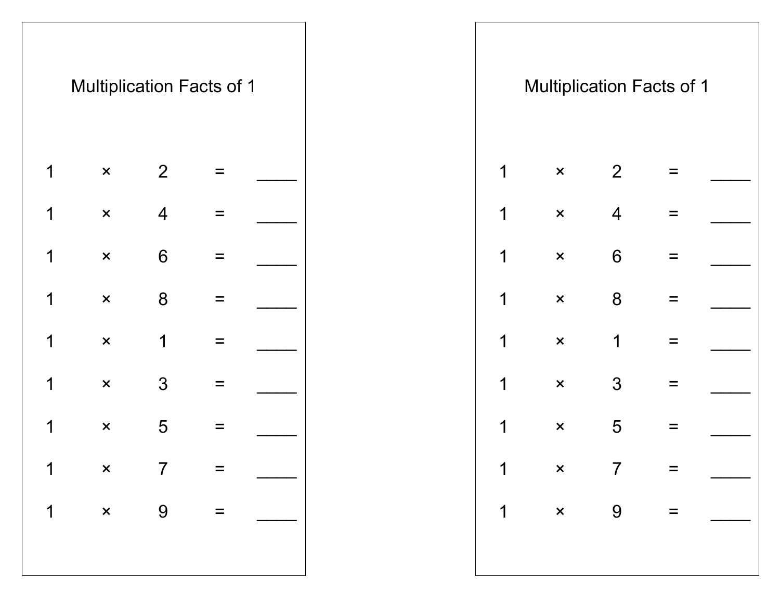|   |                | <b>Multiplication Facts of 1</b> |          |  |  |             |                           |                 | <b>Multiplication Facts of 1</b> |  |
|---|----------------|----------------------------------|----------|--|--|-------------|---------------------------|-----------------|----------------------------------|--|
| 1 | $\pmb{\times}$ | 2                                | $\equiv$ |  |  | $\mathbf 1$ | $\boldsymbol{\mathsf{x}}$ | 2               | $\equiv$                         |  |
| 1 | $\pmb{\times}$ | $\overline{4}$                   | $=$      |  |  | $\mathbf 1$ | $\boldsymbol{\mathsf{x}}$ | $\overline{4}$  | $\equiv$                         |  |
| 1 | $\pmb{\times}$ | $6\phantom{1}$                   |          |  |  | $\mathbf 1$ | $\boldsymbol{\mathsf{x}}$ | $6\phantom{1}6$ | $\equiv$                         |  |
| 1 | $\pmb{\times}$ | $8\phantom{1}$                   | $\equiv$ |  |  | $\mathbf 1$ | $\mathsf{x}$              | 8               | $=$                              |  |
| 1 | $\pmb{\times}$ | $\mathbf 1$                      | $\equiv$ |  |  | $\mathbf 1$ | $\boldsymbol{\mathsf{x}}$ | $\mathbf 1$     | $\equiv$                         |  |
| 1 | $\pmb{\times}$ | 3                                | $=$      |  |  | $\mathbf 1$ | $\boldsymbol{\mathsf{x}}$ | 3               | $\equiv$                         |  |
| 1 | $\pmb{\times}$ | 5                                | $\equiv$ |  |  | $\mathbf 1$ | $\boldsymbol{\mathsf{x}}$ | 5               | $\equiv$                         |  |
|   |                | $1 \times 7 =$                   |          |  |  | $\mathbf 1$ |                           | $\times$ 7 =    |                                  |  |
|   |                | $1 \times 9 =$                   |          |  |  |             |                           |                 |                                  |  |
|   |                |                                  |          |  |  |             |                           |                 |                                  |  |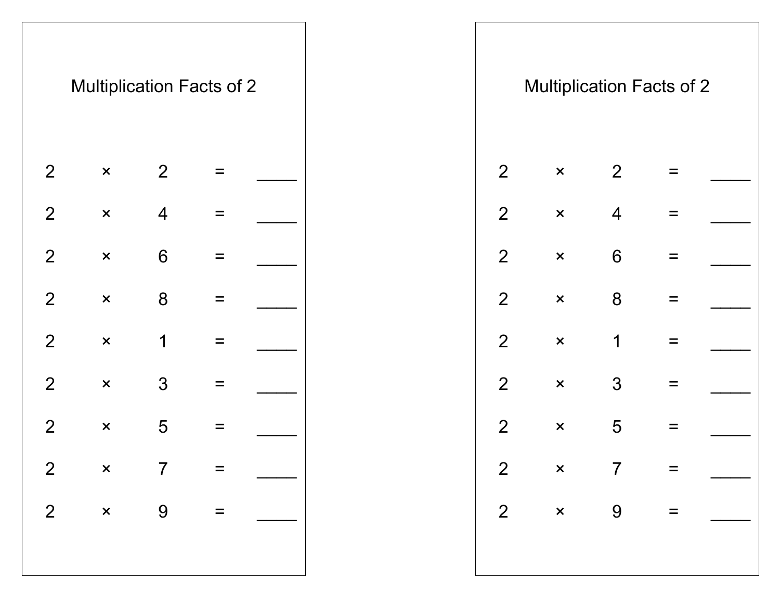|                | <b>Multiplication Facts of 2</b> |                |                   |  |  |                  |                           |                 | <b>Multiplication Facts of 2</b> |  |
|----------------|----------------------------------|----------------|-------------------|--|--|------------------|---------------------------|-----------------|----------------------------------|--|
| 2              | $\pmb{\times}$                   | $\overline{2}$ | $\equiv$          |  |  | 2                | $\pmb{\times}$            | 2               | $\equiv$                         |  |
| $\overline{2}$ | $\pmb{\times}$                   | $\overline{4}$ | $\equiv$          |  |  | $\overline{2}$   | $\pmb{\times}$            | $\overline{4}$  | $=$                              |  |
| $\overline{2}$ | $\pmb{\times}$                   | $6\,$          | $\qquad \qquad =$ |  |  | $\overline{2}$   | $\boldsymbol{\mathsf{x}}$ | $6\phantom{1}6$ | $\equiv$                         |  |
| $\overline{2}$ | $\pmb{\times}$                   | 8              | $\equiv$          |  |  | $\overline{2}$   | $\boldsymbol{\mathsf{x}}$ | 8               | $\equiv$                         |  |
| $\overline{2}$ | $\pmb{\times}$                   | $\mathbf 1$    | $\equiv$          |  |  | 2 <sup>1</sup>   | $\mathsf{x}$              | 1               | $\equiv$                         |  |
| $\overline{2}$ | $\pmb{\times}$                   | $\mathfrak{S}$ | $\equiv$          |  |  | $\overline{2}$   | $\pmb{\times}$            | 3               | $\qquad \qquad =$                |  |
| $\overline{2}$ | $\pmb{\times}$                   | 5              | $\equiv$          |  |  | $\overline{2}$   | $\pmb{\times}$            | 5               | $=$                              |  |
| $\overline{2}$ | $\times$ 7 =                     |                |                   |  |  | $2 \overline{ }$ |                           | $\times$ 7 =    |                                  |  |
| $\overline{2}$ | $x \qquad 9 =$                   |                |                   |  |  |                  |                           | $2 \times 9 =$  |                                  |  |
|                |                                  |                |                   |  |  |                  |                           |                 |                                  |  |
|                |                                  |                |                   |  |  |                  |                           |                 |                                  |  |

|                | <b>Multiplication Facts of 2</b> |                |               |  |
|----------------|----------------------------------|----------------|---------------|--|
| 2              | ×                                | $\overline{2}$ |               |  |
| $\overline{2}$ | ×                                | $\overline{4}$ |               |  |
| $\overline{2}$ | ×                                | 6              |               |  |
| $\overline{2}$ | ×                                | 8              |               |  |
| $\overline{2}$ | ×                                | 1              |               |  |
| $\overline{2}$ | $\overline{\mathsf{x}}$          | 3              |               |  |
| $\overline{2}$ | ×                                | 5              |               |  |
| $\overline{2}$ | ×                                | 7              |               |  |
| $\overline{2}$ | $\mathsf{x}$                     | 9              | $\sim$ $\sim$ |  |
|                |                                  |                |               |  |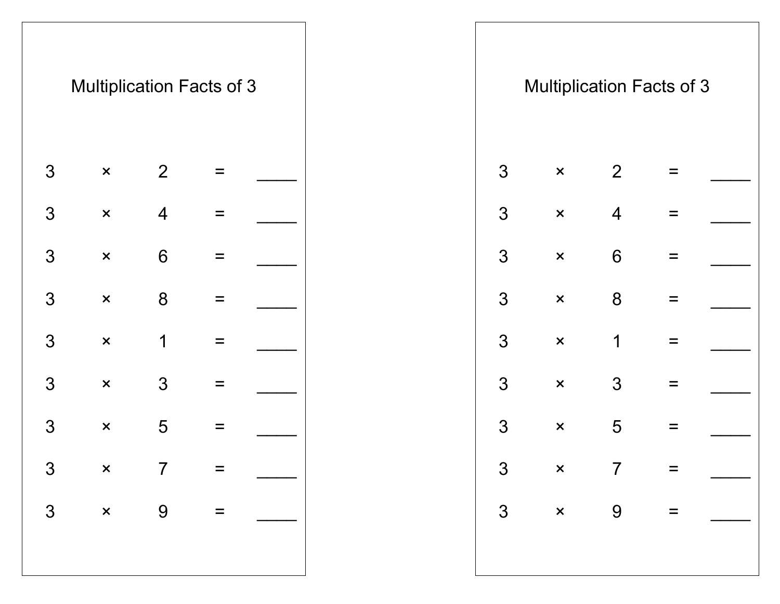|                 | <b>Multiplication Facts of 3</b> |                 |                           |  |  |                |                           |                 | <b>Multiplication Facts of 3</b> |  |
|-----------------|----------------------------------|-----------------|---------------------------|--|--|----------------|---------------------------|-----------------|----------------------------------|--|
| 3               | $\boldsymbol{\mathsf{x}}$        | 2               | $\equiv$                  |  |  | 3              | $\mathsf{x}$              | 2               | $=$                              |  |
| 3               | $\boldsymbol{\mathsf{x}}$        | $\overline{4}$  | $\equiv$                  |  |  | $\mathfrak{S}$ | $\pmb{\times}$            | $\overline{4}$  | $\equiv$                         |  |
| 3               | $\pmb{\times}$                   | $6\phantom{1}6$ | $\equiv$                  |  |  | 3              | $\pmb{\times}$            | $6\phantom{1}6$ | $\equiv$                         |  |
| 3               | $\boldsymbol{\mathsf{x}}$        | 8               | $=$                       |  |  | $\mathfrak{S}$ | $\pmb{\times}$            | 8               | Ξ                                |  |
| 3               | $\boldsymbol{\mathsf{x}}$        | 1               | $\equiv$                  |  |  | $\mathfrak{S}$ | $\pmb{\times}$            | 1               | $\equiv$                         |  |
| 3               | $\boldsymbol{\mathsf{x}}$        | 3               | $\equiv$                  |  |  | 3              | $\boldsymbol{\mathsf{x}}$ | 3               | $=$                              |  |
| 3               | $\boldsymbol{\mathsf{x}}$        | 5               | $\equiv$                  |  |  | 3              | $\pmb{\times}$            | 5               | $\equiv$                         |  |
| $\mathcal{S}$   | $\mathsf{x}$                     | $\overline{7}$  | $=$                       |  |  | 3 <sup>°</sup> |                           | $\times$ 7      | $=$                              |  |
| $3\overline{3}$ | $\times$ 9                       |                 | $\mathbf{r} = \mathbf{r}$ |  |  |                |                           | $3 \times 9 =$  |                                  |  |
|                 |                                  |                 |                           |  |  |                |                           |                 |                                  |  |
|                 |                                  |                 |                           |  |  |                |                           |                 |                                  |  |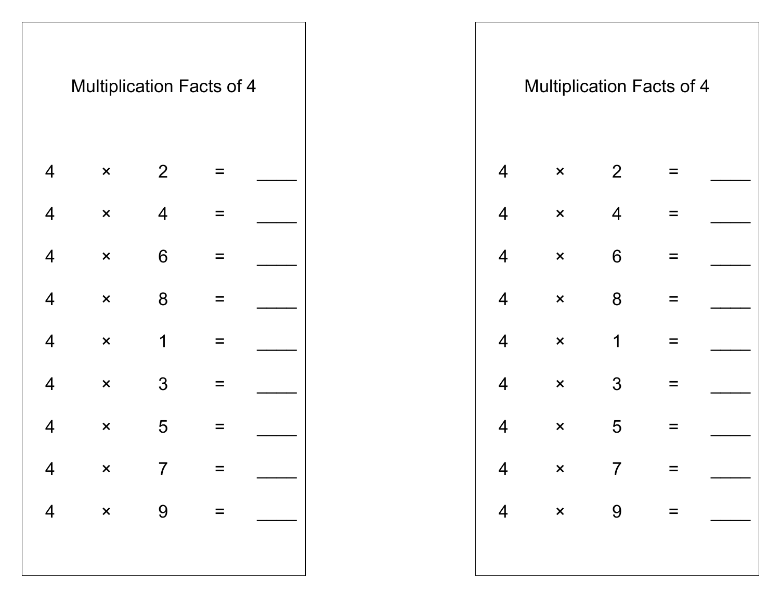|                          |                | <b>Multiplication Facts of 4</b> |          |                |  |                |                           |                | <b>Multiplication Facts of 4</b> |  |
|--------------------------|----------------|----------------------------------|----------|----------------|--|----------------|---------------------------|----------------|----------------------------------|--|
| $\overline{4}$           | $\pmb{\times}$ | 2                                | $=$      |                |  | $\overline{4}$ | $\mathsf{x}$              | 2              |                                  |  |
| $\overline{4}$           | $\pmb{\times}$ | $\overline{4}$                   | $\equiv$ |                |  | $\overline{4}$ | $\boldsymbol{\mathsf{x}}$ | $\overline{4}$ | $\equiv$                         |  |
| $\overline{4}$           | $\pmb{\times}$ | $6\phantom{1}6$                  | $=$      |                |  | $\overline{4}$ | $\pmb{\times}$            | $6\,$          | $=$                              |  |
| $\overline{4}$           | $\pmb{\times}$ | 8                                | $\equiv$ |                |  | $\overline{4}$ | $\boldsymbol{\mathsf{x}}$ | 8              | $=$                              |  |
| $\overline{4}$           | $\pmb{\times}$ | 1                                | $\equiv$ |                |  | $\overline{4}$ | $\pmb{\times}$            | $\mathbf 1$    | $\equiv$                         |  |
| $\overline{\mathcal{A}}$ | $\pmb{\times}$ | 3                                | $\equiv$ |                |  | $\overline{4}$ | $\boldsymbol{\mathsf{x}}$ | $\mathfrak{S}$ | $\equiv$                         |  |
| $\overline{4}$           | $\pmb{\times}$ | 5                                | $\equiv$ |                |  | $\overline{4}$ | $\pmb{\times}$            | 5              | $=$                              |  |
|                          |                |                                  |          |                |  |                |                           |                |                                  |  |
|                          |                | $4 \times 7 =$                   |          | $4 \times 9 =$ |  |                |                           |                | $4 \times 7 =$<br>$4 \times 9 =$ |  |
|                          |                |                                  |          |                |  |                |                           |                |                                  |  |
|                          |                |                                  |          |                |  |                |                           |                |                                  |  |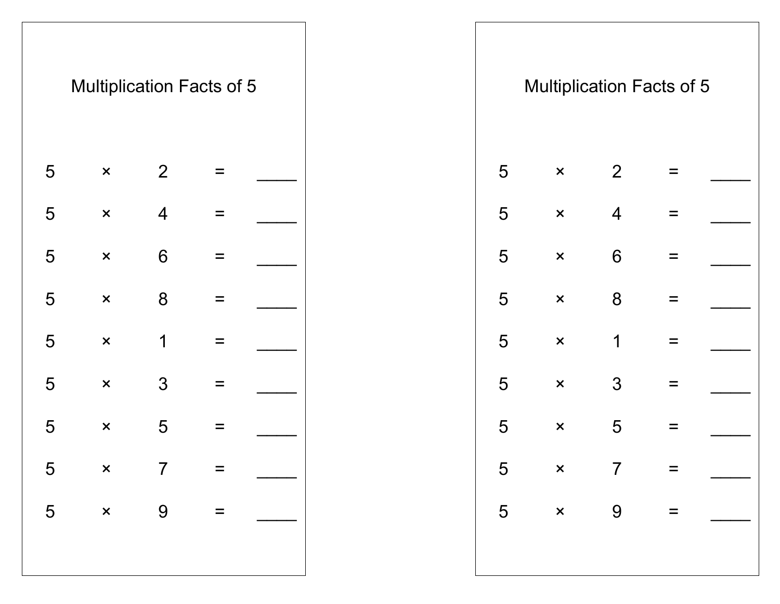|   |                           |                | <b>Multiplication Facts of 5</b> |  |
|---|---------------------------|----------------|----------------------------------|--|
| 5 | ×                         | $\overline{2}$ |                                  |  |
| 5 | ×                         | 4              |                                  |  |
| 5 | $\overline{\mathsf{x}}$   | 6              |                                  |  |
| 5 | ×                         | 8              |                                  |  |
| 5 | ×                         | 1              |                                  |  |
| 5 | $\boldsymbol{\mathsf{x}}$ | 3              |                                  |  |
| 5 | ×                         | 5              |                                  |  |
| 5 | $\times$                  | 7              |                                  |  |
| 5 | $\times$                  | 9              | $=$                              |  |
|   |                           |                |                                  |  |
|   |                           |                |                                  |  |

|   | <b>Multiplication Facts of 5</b> |                 |                                                         |  |  |                 |                | <b>Multiplication Facts of 5</b> |          |  |
|---|----------------------------------|-----------------|---------------------------------------------------------|--|--|-----------------|----------------|----------------------------------|----------|--|
| 5 | $\pmb{\times}$                   | $\overline{2}$  | $\equiv$                                                |  |  | 5               | $\pmb{\times}$ | 2                                | $=$      |  |
| 5 | $\pmb{\times}$                   | $\overline{4}$  | $\equiv$                                                |  |  | 5               | $\pmb{\times}$ | $\overline{4}$                   | =        |  |
| 5 | $\pmb{\times}$                   | $6\phantom{1}6$ | $\equiv$                                                |  |  | 5               | $\pmb{\times}$ | $6\,$                            | $\equiv$ |  |
| 5 | $\pmb{\times}$                   | 8               | $\equiv$                                                |  |  | 5               | $\pmb{\times}$ | 8                                | $\equiv$ |  |
| 5 | $\pmb{\times}$                   | 1               | $\equiv$                                                |  |  | 5               | $\pmb{\times}$ | 1                                | $\equiv$ |  |
| 5 | $\pmb{\times}$                   | $\mathfrak{S}$  | $\equiv$                                                |  |  | 5               | $\pmb{\times}$ | $\mathfrak{S}$                   | $\equiv$ |  |
| 5 | $\pmb{\times}$                   | 5               | $\equiv$                                                |  |  | 5               | $\pmb{\times}$ | 5                                | $\equiv$ |  |
| 5 | $\mathsf{X}$                     | $\overline{7}$  |                                                         |  |  | $5\phantom{.0}$ | $\times$ 7     |                                  |          |  |
|   | $5 \times 9$                     |                 | $\mathcal{L}_{\mathcal{A}} = \mathcal{L}_{\mathcal{A}}$ |  |  |                 |                | $5 \times 9 =$                   |          |  |
|   |                                  |                 |                                                         |  |  |                 |                |                                  |          |  |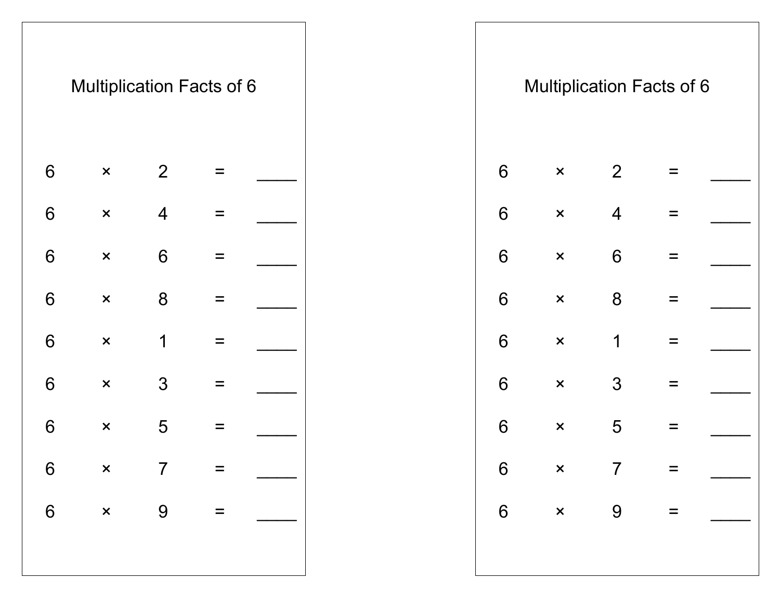|                 | <b>Multiplication Facts of 6</b> |                |          |  |  |                 |                           |                | <b>Multiplication Facts of 6</b> |  |
|-----------------|----------------------------------|----------------|----------|--|--|-----------------|---------------------------|----------------|----------------------------------|--|
| 6               | $\pmb{\times}$                   | $\overline{2}$ | $\equiv$ |  |  | $6\phantom{1}$  | $\pmb{\times}$            | $\overline{2}$ | $=$                              |  |
| 6               | $\pmb{\times}$                   | $\overline{4}$ | $\equiv$ |  |  | $6\phantom{1}$  | $\boldsymbol{\mathsf{x}}$ | $\overline{4}$ | $\equiv$                         |  |
| $6\phantom{1}6$ | $\pmb{\times}$                   | $6\phantom{1}$ | $\equiv$ |  |  | $6\phantom{1}$  | $\pmb{\times}$            | $6\phantom{1}$ | $\equiv$                         |  |
| 6               | $\pmb{\times}$                   | $8\phantom{1}$ | $\equiv$ |  |  | $6\phantom{1}$  | $\pmb{\times}$            | $8\phantom{1}$ | $\equiv$                         |  |
| 6               | $\pmb{\times}$                   | $\mathbf 1$    | $\equiv$ |  |  | $6\phantom{1}$  | $\pmb{\times}$            | 1              | $=$                              |  |
| $6\phantom{1}6$ | $\pmb{\times}$                   | 3              | $\equiv$ |  |  | $6\phantom{1}$  | $\pmb{\times}$            | 3              | $\equiv$                         |  |
| $6\phantom{1}6$ | $\pmb{\times}$                   | 5              | $\equiv$ |  |  | $6\phantom{1}$  | $\pmb{\times}$            | 5              | $=$                              |  |
| $6\phantom{1}6$ | $\mathsf{x}$                     | $\overline{7}$ | $\equiv$ |  |  | $6\phantom{a}$  | $\mathsf{x}$              | $\overline{7}$ | $=$                              |  |
| $6\phantom{a}$  | $\mathsf{x}$                     | 9              | $\equiv$ |  |  | $6\overline{6}$ | $\mathsf{x}$              | 9              | $\equiv$                         |  |
|                 |                                  |                |          |  |  |                 |                           |                |                                  |  |
|                 |                                  |                |          |  |  |                 |                           |                |                                  |  |

|                | Multiplication Facts of 6 |                |  |
|----------------|---------------------------|----------------|--|
| 6              | ×                         | $\overline{2}$ |  |
| 6              | ×                         | $\overline{4}$ |  |
| 6              | ×                         | 6              |  |
| 6              | ×                         | 8              |  |
| 6              | $\boldsymbol{\mathsf{x}}$ | 1              |  |
| 6              | ×                         | 3              |  |
| 6              | X                         | 5              |  |
| 6              | ×                         |                |  |
| $6\phantom{a}$ | $\boldsymbol{\mathsf{x}}$ | 9              |  |
|                |                           |                |  |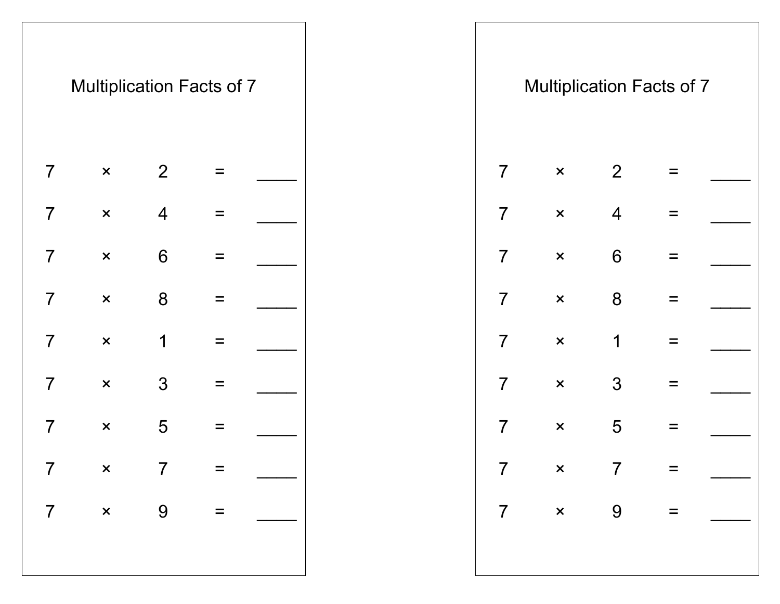|                | <b>Multiplication Facts of 7</b> |                |                           |  |  |                |                           |                | <b>Multiplication Facts of 7</b> |  |
|----------------|----------------------------------|----------------|---------------------------|--|--|----------------|---------------------------|----------------|----------------------------------|--|
| $\overline{7}$ | $\mathsf{x}$                     | 2              | $\equiv$                  |  |  | $\overline{7}$ | $\mathsf{x}$              | 2              | $=$                              |  |
| $\overline{7}$ | $\boldsymbol{\mathsf{x}}$        | $\overline{4}$ | $\equiv$                  |  |  | $\overline{7}$ | $\mathsf{x}$              | $\overline{4}$ | $\equiv$                         |  |
| $\overline{7}$ | $\pmb{\times}$                   | $6\,$          | $\equiv$                  |  |  | $\overline{7}$ | $\boldsymbol{\mathsf{x}}$ | $6\,$          | $\equiv$                         |  |
| $\overline{7}$ | $\boldsymbol{\mathsf{x}}$        | 8              | $\equiv$                  |  |  | $\overline{7}$ | $\boldsymbol{\mathsf{x}}$ | 8              | $\equiv$                         |  |
| $\overline{7}$ | $\pmb{\times}$                   | 1              | $\equiv$                  |  |  | $\overline{7}$ | $\pmb{\times}$            | $\mathbf 1$    | $\equiv$                         |  |
| $\overline{7}$ | $\boldsymbol{\mathsf{x}}$        | 3              | $\equiv$                  |  |  | $\overline{7}$ | $\boldsymbol{\mathsf{x}}$ | 3              | $\equiv$                         |  |
| $\overline{7}$ | $\boldsymbol{\mathsf{x}}$        | 5              | $\equiv$                  |  |  | $\overline{7}$ | $\boldsymbol{\mathsf{x}}$ | 5              | $\equiv$                         |  |
| $\overline{7}$ | $\times$ 7                       |                | $\mathbf{r} = \mathbf{r}$ |  |  |                |                           | $7 \times 7 =$ |                                  |  |
| $\overline{7}$ | $x \qquad 9 =$                   |                |                           |  |  |                |                           |                | $7 \times 9 =$                   |  |
|                |                                  |                |                           |  |  |                |                           |                |                                  |  |
|                |                                  |                |                           |  |  |                |                           |                |                                  |  |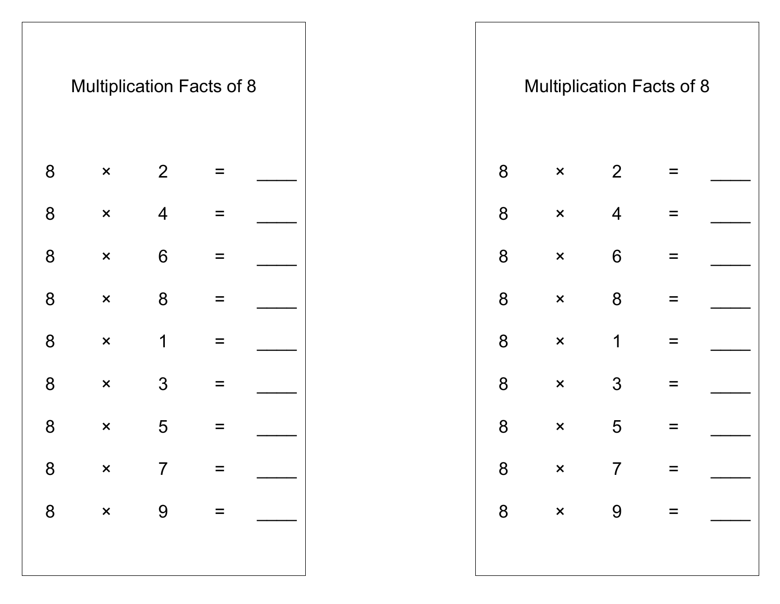|                | <b>Multiplication Facts of 8</b> |                |          |  |  |                |                           |                 | <b>Multiplication Facts of 8</b> |  |
|----------------|----------------------------------|----------------|----------|--|--|----------------|---------------------------|-----------------|----------------------------------|--|
| 8              | $\boldsymbol{\mathsf{x}}$        | 2              | $\equiv$ |  |  | 8              | $\boldsymbol{\mathsf{x}}$ | $\overline{2}$  | $\equiv$                         |  |
| 8              | $\pmb{\times}$                   | $\overline{4}$ | $\equiv$ |  |  | 8              | $\pmb{\times}$            | $\overline{4}$  | $\equiv$                         |  |
| 8              | $\pmb{\times}$                   | $6\,$          | $\equiv$ |  |  | 8              | $\boldsymbol{\mathsf{x}}$ | $6\phantom{1}6$ | $\equiv$                         |  |
| 8              | $\pmb{\times}$                   | $8\phantom{1}$ | $\equiv$ |  |  | 8              | $\pmb{\times}$            | 8               | $\equiv$                         |  |
| 8              | $\pmb{\times}$                   | 1              | $\equiv$ |  |  | 8              | $\boldsymbol{\mathsf{x}}$ | 1               | $\equiv$                         |  |
| 8              | $\pmb{\times}$                   | 3              | $\equiv$ |  |  | 8              | $\boldsymbol{\mathsf{x}}$ | 3               | $\equiv$                         |  |
| 8              | $\pmb{\times}$                   | 5              | $\equiv$ |  |  | $8\phantom{1}$ | $\pmb{\times}$            | 5               | $\equiv$                         |  |
| $8\phantom{1}$ |                                  | $\times$ 7     | $\equiv$ |  |  | $8\phantom{1}$ | $\mathsf{x}$              | $\overline{7}$  | $\equiv$                         |  |
| 8              | $\mathsf{x}$                     | 9              | $\equiv$ |  |  | 8              | $\mathsf{x}$              | 9               | $\equiv$                         |  |
|                |                                  |                |          |  |  |                |                           |                 |                                  |  |
|                |                                  |                |          |  |  |                |                           |                 |                                  |  |

|   |                           | <b>Multiplication Facts of 8</b> |  |
|---|---------------------------|----------------------------------|--|
| 8 | ×                         | 2                                |  |
| 8 | $\boldsymbol{\mathsf{x}}$ | 4                                |  |
| 8 | $\overline{\mathsf{x}}$   | 6                                |  |
| 8 | $\boldsymbol{\mathsf{x}}$ | 8                                |  |
| 8 | ×                         | 1                                |  |
| 8 | $\overline{\mathsf{x}}$   | 3                                |  |
| 8 | $\boldsymbol{\mathsf{x}}$ | 5                                |  |
| 8 | $\overline{\mathsf{x}}$   | $\prime$                         |  |
| 8 | $\boldsymbol{\mathsf{x}}$ | 9                                |  |
|   |                           |                                  |  |